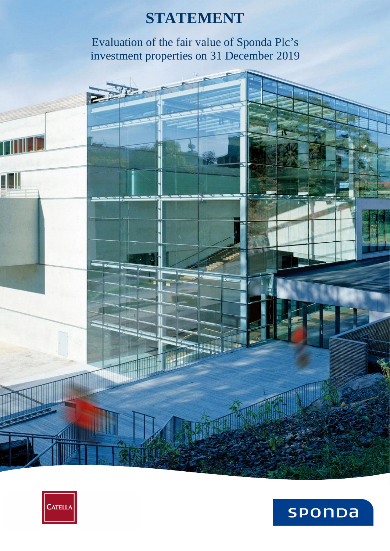# **STATEMENT**

Evaluation of the fair value of Sponda Plc's investment properties on 31 December 2019





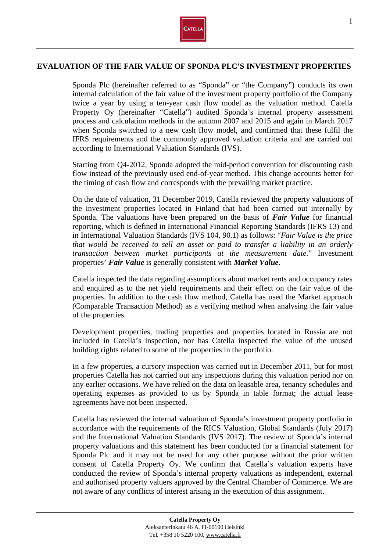

## **EVALUATION OF THE FAIR VALUE OF SPONDA PLC'S INVESTMENT PROPERTIES**

Sponda Plc (hereinafter referred to as "Sponda" or "the Company") conducts its own internal calculation of the fair value of the investment property portfolio of the Company twice a year by using a ten-year cash flow model as the valuation method. Catella Property Oy (hereinafter "Catella") audited Sponda's internal property assessment process and calculation methods in the autumn 2007 and 2015 and again in March 2017 when Sponda switched to a new cash flow model, and confirmed that these fulfil the IFRS requirements and the commonly approved valuation criteria and are carried out according to International Valuation Standards (IVS).

Starting from Q4-2012, Sponda adopted the mid-period convention for discounting cash flow instead of the previously used end-of-year method. This change accounts better for the timing of cash flow and corresponds with the prevailing market practice.

On the date of valuation, 31 December 2019, Catella reviewed the property valuations of the investment properties located in Finland that had been carried out internally by Sponda. The valuations have been prepared on the basis of *Fair Value* for financial reporting, which is defined in International Financial Reporting Standards (IFRS 13) and in International Valuation Standards (IVS 104, 90.1) as follows: "*Fair Value is the price that would be received to sell an asset or paid to transfer a liability in an orderly transaction between market participants at the measurement date.*" Investment properties' *Fair Value* is generally consistent with *Market Value*.

Catella inspected the data regarding assumptions about market rents and occupancy rates and enquired as to the net yield requirements and their effect on the fair value of the properties. In addition to the cash flow method, Catella has used the Market approach (Comparable Transaction Method) as a verifying method when analysing the fair value of the properties.

Development properties, trading properties and properties located in Russia are not included in Catella's inspection, nor has Catella inspected the value of the unused building rights related to some of the properties in the portfolio.

In a few properties, a cursory inspection was carried out in December 2011, but for most properties Catella has not carried out any inspections during this valuation period nor on any earlier occasions. We have relied on the data on leasable area, tenancy schedules and operating expenses as provided to us by Sponda in table format; the actual lease agreements have not been inspected.

Catella has reviewed the internal valuation of Sponda's investment property portfolio in accordance with the requirements of the RICS Valuation, Global Standards (July 2017) and the International Valuation Standards (IVS 2017). The review of Sponda's internal property valuations and this statement has been conducted for a financial statement for Sponda Plc and it may not be used for any other purpose without the prior written consent of Catella Property Oy. We confirm that Catella's valuation experts have conducted the review of Sponda's internal property valuations as independent, external and authorised property valuers approved by the Central Chamber of Commerce. We are not aware of any conflicts of interest arising in the execution of this assignment.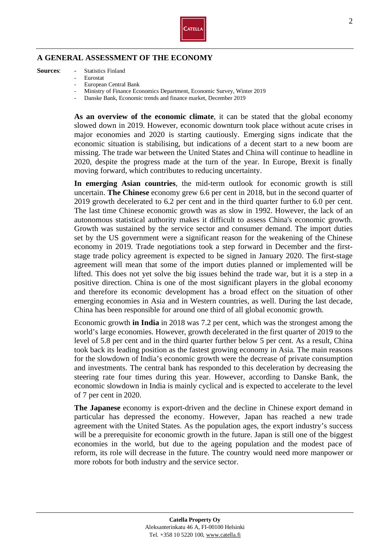

## **A GENERAL ASSESSMENT OF THE ECONOMY**

#### **Sources**: - Statistics Finland

- Eurostat
	- European Central Bank
	- Ministry of Finance Economics Department, Economic Survey, Winter 2019
	- Danske Bank, Economic trends and finance market, December 2019

**As an overview of the economic climate**, it can be stated that the global economy slowed down in 2019. However, economic downturn took place without acute crises in major economies and 2020 is starting cautiously. Emerging signs indicate that the economic situation is stabilising, but indications of a decent start to a new boom are missing. The trade war between the United States and China will continue to headline in 2020, despite the progress made at the turn of the year. In Europe, Brexit is finally moving forward, which contributes to reducing uncertainty.

**In emerging Asian countries**, the mid-term outlook for economic growth is still uncertain. **The Chinese** economy grew 6.6 per cent in 2018, but in the second quarter of 2019 growth decelerated to 6.2 per cent and in the third quarter further to 6.0 per cent. The last time Chinese economic growth was as slow in 1992. However, the lack of an autonomous statistical authority makes it difficult to assess China's economic growth. Growth was sustained by the service sector and consumer demand. The import duties set by the US government were a significant reason for the weakening of the Chinese economy in 2019. Trade negotiations took a step forward in December and the firststage trade policy agreement is expected to be signed in January 2020. The first-stage agreement will mean that some of the import duties planned or implemented will be lifted. This does not yet solve the big issues behind the trade war, but it is a step in a positive direction. China is one of the most significant players in the global economy and therefore its economic development has a broad effect on the situation of other emerging economies in Asia and in Western countries, as well. During the last decade, China has been responsible for around one third of all global economic growth.

 Economic growth **in India** in 2018 was 7.2 per cent, which was the strongest among the world's large economies. However, growth decelerated in the first quarter of 2019 to the level of 5.8 per cent and in the third quarter further below 5 per cent. As a result, China took back its leading position as the fastest growing economy in Asia. The main reasons for the slowdown of India's economic growth were the decrease of private consumption and investments. The central bank has responded to this deceleration by decreasing the steering rate four times during this year. However, according to Danske Bank, the economic slowdown in India is mainly cyclical and is expected to accelerate to the level of 7 per cent in 2020.

 **The Japanese** economy is export-driven and the decline in Chinese export demand in particular has depressed the economy. However, Japan has reached a new trade agreement with the United States. As the population ages, the export industry's success will be a prerequisite for economic growth in the future. Japan is still one of the biggest economies in the world, but due to the ageing population and the modest pace of reform, its role will decrease in the future. The country would need more manpower or more robots for both industry and the service sector.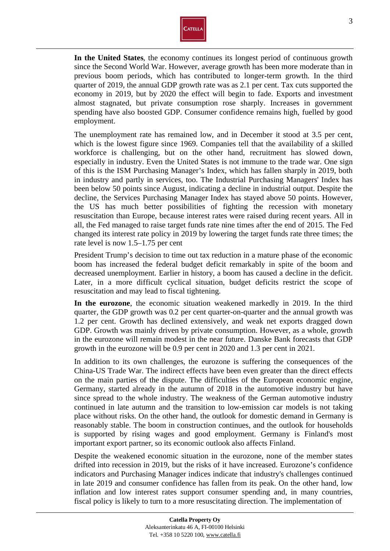

**In the United States**, the economy continues its longest period of continuous growth since the Second World War. However, average growth has been more moderate than in previous boom periods, which has contributed to longer-term growth. In the third quarter of 2019, the annual GDP growth rate was as 2.1 per cent. Tax cuts supported the economy in 2019, but by 2020 the effect will begin to fade. Exports and investment almost stagnated, but private consumption rose sharply. Increases in government spending have also boosted GDP. Consumer confidence remains high, fuelled by good employment.

The unemployment rate has remained low, and in December it stood at 3.5 per cent, which is the lowest figure since 1969. Companies tell that the availability of a skilled workforce is challenging, but on the other hand, recruitment has slowed down, especially in industry. Even the United States is not immune to the trade war. One sign of this is the ISM Purchasing Manager's Index, which has fallen sharply in 2019, both in industry and partly in services, too. The Industrial Purchasing Managers' Index has been below 50 points since August, indicating a decline in industrial output. Despite the decline, the Services Purchasing Manager Index has stayed above 50 points. However, the US has much better possibilities of fighting the recession with monetary resuscitation than Europe, because interest rates were raised during recent years. All in all, the Fed managed to raise target funds rate nine times after the end of 2015. The Fed changed its interest rate policy in 2019 by lowering the target funds rate three times; the rate level is now 1.5–1.75 per cent

President Trump's decision to time out tax reduction in a mature phase of the economic boom has increased the federal budget deficit remarkably in spite of the boom and decreased unemployment. Earlier in history, a boom has caused a decline in the deficit. Later, in a more difficult cyclical situation, budget deficits restrict the scope of resuscitation and may lead to fiscal tightening.

**In the eurozone**, the economic situation weakened markedly in 2019. In the third quarter, the GDP growth was 0.2 per cent quarter-on-quarter and the annual growth was 1.2 per cent. Growth has declined extensively, and weak net exports dragged down GDP. Growth was mainly driven by private consumption. However, as a whole, growth in the eurozone will remain modest in the near future. Danske Bank forecasts that GDP growth in the eurozone will be 0.9 per cent in 2020 and 1.3 per cent in 2021.

In addition to its own challenges, the eurozone is suffering the consequences of the China-US Trade War. The indirect effects have been even greater than the direct effects on the main parties of the dispute. The difficulties of the European economic engine, Germany, started already in the autumn of 2018 in the automotive industry but have since spread to the whole industry. The weakness of the German automotive industry continued in late autumn and the transition to low-emission car models is not taking place without risks. On the other hand, the outlook for domestic demand in Germany is reasonably stable. The boom in construction continues, and the outlook for households is supported by rising wages and good employment. Germany is Finland's most important export partner, so its economic outlook also affects Finland.

Despite the weakened economic situation in the eurozone, none of the member states drifted into recession in 2019, but the risks of it have increased. Eurozone's confidence indicators and Purchasing Manager indices indicate that industry's challenges continued in late 2019 and consumer confidence has fallen from its peak. On the other hand, low inflation and low interest rates support consumer spending and, in many countries, fiscal policy is likely to turn to a more resuscitating direction. The implementation of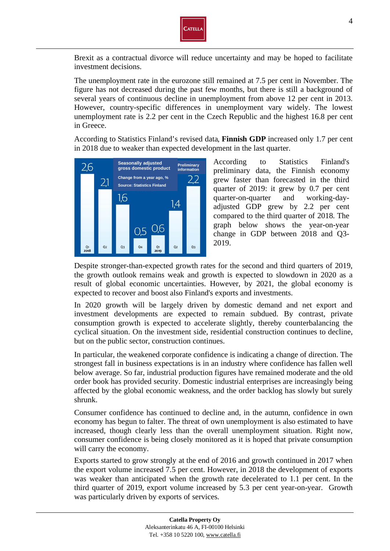

Brexit as a contractual divorce will reduce uncertainty and may be hoped to facilitate investment decisions.

The unemployment rate in the eurozone still remained at 7.5 per cent in November. The figure has not decreased during the past few months, but there is still a background of several years of continuous decline in unemployment from above 12 per cent in 2013. However, country-specific differences in unemployment vary widely. The lowest unemployment rate is 2.2 per cent in the Czech Republic and the highest 16.8 per cent in Greece.

According to Statistics Finland's revised data, **Finnish GDP** increased only 1.7 per cent in 2018 due to weaker than expected development in the last quarter.



According to Statistics Finland's preliminary data, the Finnish economy grew faster than forecasted in the third quarter of 2019: it grew by 0.7 per cent quarter-on-quarter and working-dayadjusted GDP grew by 2.2 per cent compared to the third quarter of 2018. The graph below shows the year-on-year change in GDP between 2018 and Q3- 2019.

Despite stronger-than-expected growth rates for the second and third quarters of 2019, the growth outlook remains weak and growth is expected to slowdown in 2020 as a result of global economic uncertainties. However, by 2021, the global economy is expected to recover and boost also Finland's exports and investments.

In 2020 growth will be largely driven by domestic demand and net export and investment developments are expected to remain subdued. By contrast, private consumption growth is expected to accelerate slightly, thereby counterbalancing the cyclical situation. On the investment side, residential construction continues to decline, but on the public sector, construction continues.

In particular, the weakened corporate confidence is indicating a change of direction. The strongest fall in business expectations is in an industry where confidence has fallen well below average. So far, industrial production figures have remained moderate and the old order book has provided security. Domestic industrial enterprises are increasingly being affected by the global economic weakness, and the order backlog has slowly but surely shrunk.

Consumer confidence has continued to decline and, in the autumn, confidence in own economy has begun to falter. The threat of own unemployment is also estimated to have increased, though clearly less than the overall unemployment situation. Right now, consumer confidence is being closely monitored as it is hoped that private consumption will carry the economy.

Exports started to grow strongly at the end of 2016 and growth continued in 2017 when the export volume increased 7.5 per cent. However, in 2018 the development of exports was weaker than anticipated when the growth rate decelerated to 1.1 per cent. In the third quarter of 2019, export volume increased by 5.3 per cent year-on-year. Growth was particularly driven by exports of services.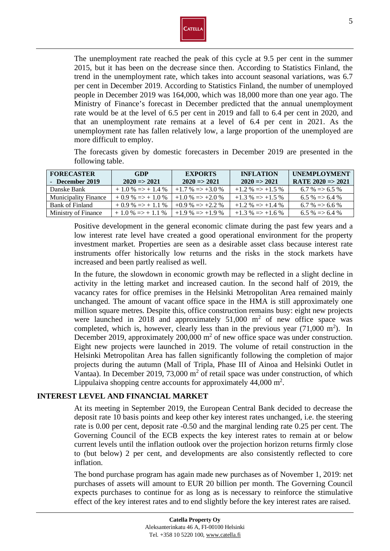

The unemployment rate reached the peak of this cycle at 9.5 per cent in the summer 2015, but it has been on the decrease since then. According to Statistics Finland, the trend in the unemployment rate, which takes into account seasonal variations, was 6.7 per cent in December 2019. According to Statistics Finland, the number of unemployed people in December 2019 was 164,000, which was 18,000 more than one year ago. The Ministry of Finance's forecast in December predicted that the annual unemployment rate would be at the level of 6.5 per cent in 2019 and fall to 6.4 per cent in 2020, and that an unemployment rate remains at a level of 6.4 per cent in 2021. As the unemployment rate has fallen relatively low, a large proportion of the unemployed are more difficult to employ.

The forecasts given by domestic forecasters in December 2019 are presented in the following table.

| <b>FORECASTER</b>           | GDP                         | <b>EXPORTS</b>              | <b>INFLATION</b>            | <b>UNEMPLOYMENT</b>          |
|-----------------------------|-----------------------------|-----------------------------|-----------------------------|------------------------------|
| - December 2019             | $2020 \Rightarrow 2021$     | $2020 \Rightarrow 2021$     | $2020 \Rightarrow 2021$     | RATE $2020 \Rightarrow 2021$ |
| Danske Bank                 | $+1.0\% \Rightarrow +1.4\%$ | $+1.7\% \Rightarrow +3.0\%$ | $+1.2\% \Rightarrow +1.5\%$ | $6.7\% \approx 6.5\%$        |
| <b>Municipality Finance</b> | $+0.9\% \Rightarrow +1.0\%$ | $+1.0\% \Rightarrow +2.0\%$ | $+1.3\% \Rightarrow +1.5\%$ | $6.5\% \Rightarrow 6.4\%$    |
| Bank of Finland             | $+0.9\% \Rightarrow +1.1\%$ | $+0.9\% \Rightarrow +2.2\%$ | $+1.2\% \Rightarrow +1.4\%$ | $6.7\% \approx 6.6\%$        |
| Ministry of Finance         | $+1.0\% \Rightarrow +1.1\%$ | $+1.9\% \Rightarrow +1.9\%$ | $+1.3\% \Rightarrow +1.6\%$ | $6.5\% \Rightarrow 6.4\%$    |

Positive development in the general economic climate during the past few years and a low interest rate level have created a good operational environment for the property investment market. Properties are seen as a desirable asset class because interest rate instruments offer historically low returns and the risks in the stock markets have increased and been partly realised as well.

In the future, the slowdown in economic growth may be reflected in a slight decline in activity in the letting market and increased caution. In the second half of 2019, the vacancy rates for office premises in the Helsinki Metropolitan Area remained mainly unchanged. The amount of vacant office space in the HMA is still approximately one million square metres. Despite this, office construction remains busy: eight new projects were launched in 2018 and approximately  $51,000$  m<sup>2</sup> of new office space was completed, which is, however, clearly less than in the previous year  $(71,000 \text{ m}^2)$ . In December 2019, approximately 200,000  $m<sup>2</sup>$  of new office space was under construction. Eight new projects were launched in 2019. The volume of retail construction in the Helsinki Metropolitan Area has fallen significantly following the completion of major projects during the autumn (Mall of Tripla, Phase III of Ainoa and Helsinki Outlet in Vantaa). In December 2019, 73,000  $m<sup>2</sup>$  of retail space was under construction, of which Lippulaiva shopping centre accounts for approximately  $44,000$  m<sup>2</sup>.

## **INTEREST LEVEL AND FINANCIAL MARKET**

At its meeting in September 2019, the European Central Bank decided to decrease the deposit rate 10 basis points and keep other key interest rates unchanged, i.e. the steering rate is 0.00 per cent, deposit rate -0.50 and the marginal lending rate 0.25 per cent. The Governing Council of the ECB expects the key interest rates to remain at or below current levels until the inflation outlook over the projection horizon returns firmly close to (but below) 2 per cent, and developments are also consistently reflected to core inflation.

The bond purchase program has again made new purchases as of November 1, 2019: net purchases of assets will amount to EUR 20 billion per month. The Governing Council expects purchases to continue for as long as is necessary to reinforce the stimulative effect of the key interest rates and to end slightly before the key interest rates are raised.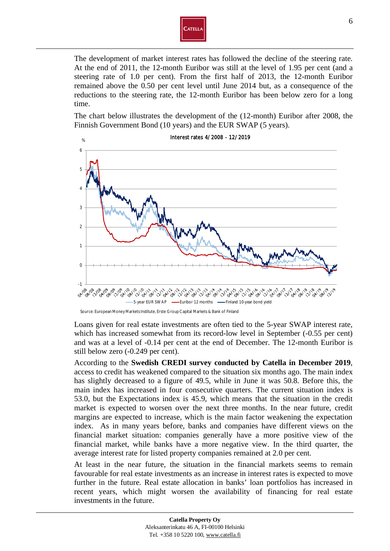

The development of market interest rates has followed the decline of the steering rate. At the end of 2011, the 12-month Euribor was still at the level of 1.95 per cent (and a steering rate of 1.0 per cent). From the first half of 2013, the 12-month Euribor remained above the 0.50 per cent level until June 2014 but, as a consequence of the reductions to the steering rate, the 12-month Euribor has been below zero for a long time.

The chart below illustrates the development of the (12-month) Euribor after 2008, the Finnish Government Bond (10 years) and the EUR SWAP (5 years).



### Interest rates 4/2008 - 12/2019

Loans given for real estate investments are often tied to the 5-year SWAP interest rate, which has increased somewhat from its record-low level in September (-0.55 per cent) and was at a level of -0.14 per cent at the end of December. The 12-month Euribor is still below zero (-0.249 per cent).

According to the **Swedish CREDI survey conducted by Catella in December 2019**, access to credit has weakened compared to the situation six months ago. The main index has slightly decreased to a figure of 49.5, while in June it was 50.8. Before this, the main index has increased in four consecutive quarters. The current situation index is 53.0, but the Expectations index is 45.9, which means that the situation in the credit market is expected to worsen over the next three months. In the near future, credit margins are expected to increase, which is the main factor weakening the expectation index. As in many years before, banks and companies have different views on the financial market situation: companies generally have a more positive view of the financial market, while banks have a more negative view. In the third quarter, the average interest rate for listed property companies remained at 2.0 per cent.

At least in the near future, the situation in the financial markets seems to remain favourable for real estate investments as an increase in interest rates is expected to move further in the future. Real estate allocation in banks' loan portfolios has increased in recent years, which might worsen the availability of financing for real estate investments in the future.

Source: European Money Markets Institute, Erste Group Capital Markets & Bank of Finland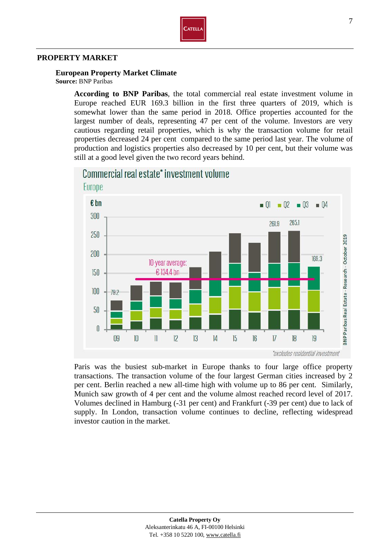

### **PROPERTY MARKET**

**European Property Market Climate**

**Source:** BNP Paribas

**According to BNP Paribas**, the total commercial real estate investment volume in Europe reached EUR 169.3 billion in the first three quarters of 2019, which is somewhat lower than the same period in 2018. Office properties accounted for the largest number of deals, representing 47 per cent of the volume. Investors are very cautious regarding retail properties, which is why the transaction volume for retail properties decreased 24 per cent compared to the same period last year. The volume of production and logistics properties also decreased by 10 per cent, but their volume was still at a good level given the two record years behind.



Paris was the busiest sub-market in Europe thanks to four large office property transactions. The transaction volume of the four largest German cities increased by 2 per cent. Berlin reached a new all-time high with volume up to 86 per cent. Similarly, Munich saw growth of 4 per cent and the volume almost reached record level of 2017. Volumes declined in Hamburg (-31 per cent) and Frankfurt (-39 per cent) due to lack of supply. In London, transaction volume continues to decline, reflecting widespread investor caution in the market.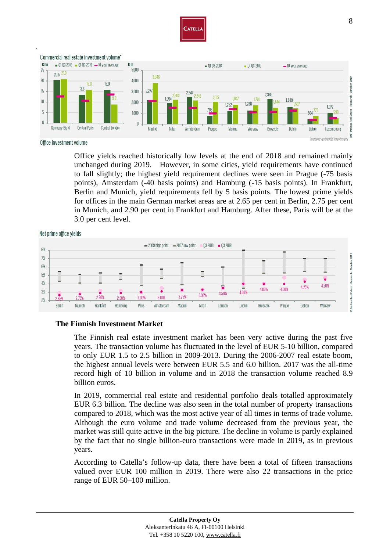



Office investment volume

Office yields reached historically low levels at the end of 2018 and remained mainly unchanged during 2019. However, in some cities, yield requirements have continued to fall slightly; the highest yield requirement declines were seen in Prague (-75 basis points), Amsterdam (-40 basis points) and Hamburg (-15 basis points). In Frankfurt, Berlin and Munich, yield requirements fell by 5 basis points. The lowest prime yields for offices in the main German market areas are at 2.65 per cent in Berlin, 2.75 per cent in Munich, and 2.90 per cent in Frankfurt and Hamburg. After these, Paris will be at the 3.0 per cent level.

Net prime office yields



#### **The Finnish Investment Market**

The Finnish real estate investment market has been very active during the past five years. The transaction volume has fluctuated in the level of EUR 5-10 billion, compared to only EUR 1.5 to 2.5 billion in 2009-2013. During the 2006-2007 real estate boom, the highest annual levels were between EUR 5.5 and 6.0 billion. 2017 was the all-time record high of 10 billion in volume and in 2018 the transaction volume reached 8.9 billion euros.

In 2019, commercial real estate and residential portfolio deals totalled approximately EUR 6.3 billion. The decline was also seen in the total number of property transactions compared to 2018, which was the most active year of all times in terms of trade volume. Although the euro volume and trade volume decreased from the previous year, the market was still quite active in the big picture. The decline in volume is partly explained by the fact that no single billion-euro transactions were made in 2019, as in previous years.

According to Catella's follow-up data, there have been a total of fifteen transactions valued over EUR 100 million in 2019. There were also 22 transactions in the price range of EUR 50–100 million.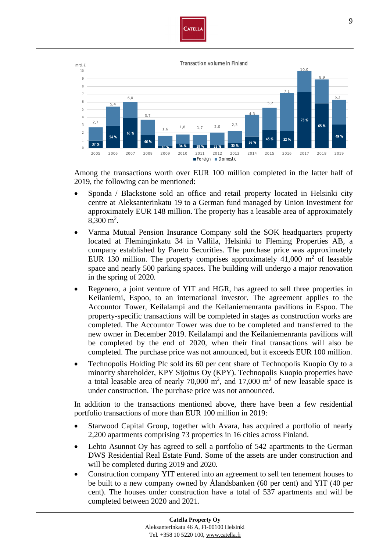

mrd € Transaction volume in Finland



Among the transactions worth over EUR 100 million completed in the latter half of 2019, the following can be mentioned:

- Sponda / Blackstone sold an office and retail property located in Helsinki city centre at Aleksanterinkatu 19 to a German fund managed by Union Investment for approximately EUR 148 million. The property has a leasable area of approximately  $8,300 \text{ m}^2$ .
- Varma Mutual Pension Insurance Company sold the SOK headquarters property located at Fleminginkatu 34 in Vallila, Helsinki to Fleming Properties AB, a company established by Pareto Securities. The purchase price was approximately EUR 130 million. The property comprises approximately  $41,000$  m<sup>2</sup> of leasable space and nearly 500 parking spaces. The building will undergo a major renovation in the spring of 2020.
- Regenero, a joint venture of YIT and HGR, has agreed to sell three properties in Keilaniemi, Espoo, to an international investor. The agreement applies to the Accountor Tower, Keilalampi and the Keilaniemenranta pavilions in Espoo. The property-specific transactions will be completed in stages as construction works are completed. The Accountor Tower was due to be completed and transferred to the new owner in December 2019. Keilalampi and the Keilaniemenranta pavilions will be completed by the end of 2020, when their final transactions will also be completed. The purchase price was not announced, but it exceeds EUR 100 million.
- Technopolis Holding Plc sold its 60 per cent share of Technopolis Kuopio Oy to a minority shareholder, KPY Sijoitus Oy (KPY). Technopolis Kuopio properties have a total leasable area of nearly  $70,000 \text{ m}^2$ , and  $17,000 \text{ m}^2$  of new leasable space is under construction. The purchase price was not announced.

In addition to the transactions mentioned above, there have been a few residential portfolio transactions of more than EUR 100 million in 2019:

- Starwood Capital Group, together with Avara, has acquired a portfolio of nearly 2,200 apartments comprising 73 properties in 16 cities across Finland.
- Lehto Asunnot Oy has agreed to sell a portfolio of 542 apartments to the German DWS Residential Real Estate Fund. Some of the assets are under construction and will be completed during 2019 and 2020.
- Construction company YIT entered into an agreement to sell ten tenement houses to be built to a new company owned by Ålandsbanken (60 per cent) and YIT (40 per cent). The houses under construction have a total of 537 apartments and will be completed between 2020 and 2021.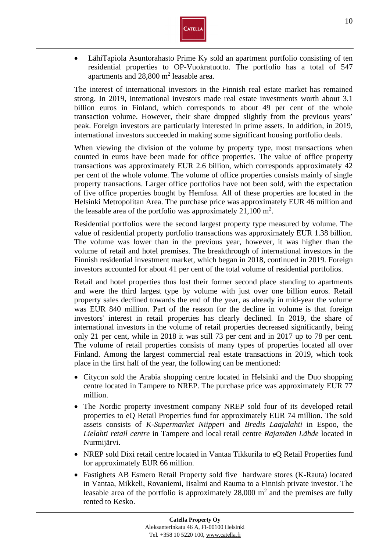

• LähiTapiola Asuntorahasto Prime Ky sold an apartment portfolio consisting of ten residential properties to OP-Vuokratuotto. The portfolio has a total of 547 apartments and  $28,800 \text{ m}^2$  leasable area.

The interest of international investors in the Finnish real estate market has remained strong. In 2019, international investors made real estate investments worth about 3.1 billion euros in Finland, which corresponds to about 49 per cent of the whole transaction volume. However, their share dropped slightly from the previous years' peak. Foreign investors are particularly interested in prime assets. In addition, in 2019, international investors succeeded in making some significant housing portfolio deals.

When viewing the division of the volume by property type, most transactions when counted in euros have been made for office properties. The value of office property transactions was approximately EUR 2.6 billion, which corresponds approximately 42 per cent of the whole volume. The volume of office properties consists mainly of single property transactions. Larger office portfolios have not been sold, with the expectation of five office properties bought by Hemfosa. All of these properties are located in the Helsinki Metropolitan Area. The purchase price was approximately EUR 46 million and the leasable area of the portfolio was approximately  $21,100 \text{ m}^2$ .

Residential portfolios were the second largest property type measured by volume. The value of residential property portfolio transactions was approximately EUR 1.38 billion. The volume was lower than in the previous year, however, it was higher than the volume of retail and hotel premises. The breakthrough of international investors in the Finnish residential investment market, which began in 2018, continued in 2019. Foreign investors accounted for about 41 per cent of the total volume of residential portfolios.

Retail and hotel properties thus lost their former second place standing to apartments and were the third largest type by volume with just over one billion euros. Retail property sales declined towards the end of the year, as already in mid-year the volume was EUR 840 million. Part of the reason for the decline in volume is that foreign investors' interest in retail properties has clearly declined. In 2019, the share of international investors in the volume of retail properties decreased significantly, being only 21 per cent, while in 2018 it was still 73 per cent and in 2017 up to 78 per cent. The volume of retail properties consists of many types of properties located all over Finland. Among the largest commercial real estate transactions in 2019, which took place in the first half of the year, the following can be mentioned:

- Citycon sold the Arabia shopping centre located in Helsinki and the Duo shopping centre located in Tampere to NREP. The purchase price was approximately EUR 77 million.
- The Nordic property investment company NREP sold four of its developed retail properties to eQ Retail Properties fund for approximately EUR 74 million. The sold assets consists of *K-Supermarket Niipperi* and *Bredis Laajalahti* in Espoo, the *Lielahti retail centre* in Tampere and local retail centre *Rajamäen Lähde* located in Nurmijärvi.
- NREP sold Dixi retail centre located in Vantaa Tikkurila to eQ Retail Properties fund for approximately EUR 66 million.
- Fastighets AB Esmero Retail Property sold five hardware stores (K-Rauta) located in Vantaa, Mikkeli, Rovaniemi, Iisalmi and Rauma to a Finnish private investor. The leasable area of the portfolio is approximately  $28,000 \text{ m}^2$  and the premises are fully rented to Kesko.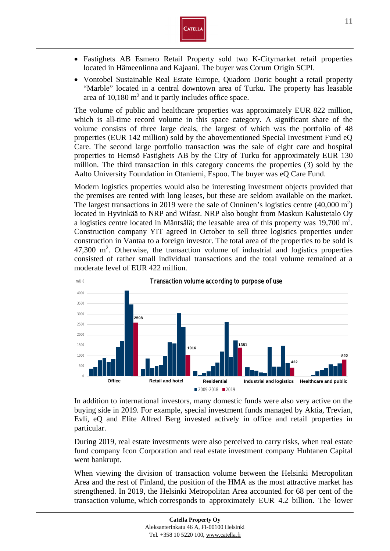

- Fastighets AB Esmero Retail Property sold two K-Citymarket retail properties located in Hämeenlinna and Kajaani. The buyer was Corum Origin SCPI.
- Vontobel Sustainable Real Estate Europe, Quadoro Doric bought a retail property "Marble" located in a central downtown area of Turku. The property has leasable area of  $10,180 \text{ m}^2$  and it partly includes office space.

The volume of public and healthcare properties was approximately EUR 822 million, which is all-time record volume in this space category. A significant share of the volume consists of three large deals, the largest of which was the portfolio of 48 properties (EUR 142 million) sold by the abovementioned Special Investment Fund eQ Care. The second large portfolio transaction was the sale of eight care and hospital properties to Hemsö Fastighets AB by the City of Turku for approximately EUR 130 million. The third transaction in this category concerns the properties (3) sold by the Aalto University Foundation in Otaniemi, Espoo. The buyer was eQ Care Fund.

Modern logistics properties would also be interesting investment objects provided that the premises are rented with long leases, but these are seldom available on the market. The largest transactions in 2019 were the sale of Onninen's logistics centre  $(40,000 \text{ m}^2)$ located in Hyvinkää to NRP and Wifast. NRP also bought from Maskun Kalustetalo Oy a logistics centre located in Mäntsälä; the leasable area of this property was 19,700 m<sup>2</sup>. Construction company YIT agreed in October to sell three logistics properties under construction in Vantaa to a foreign investor. The total area of the properties to be sold is 47,300 m<sup>2</sup>. Otherwise, the transaction volume of industrial and logistics properties consisted of rather small individual transactions and the total volume remained at a moderate level of EUR 422 million.



In addition to international investors, many domestic funds were also very active on the buying side in 2019. For example, special investment funds managed by Aktia, Trevian, Evli, eQ and Elite Alfred Berg invested actively in office and retail properties in particular.

During 2019, real estate investments were also perceived to carry risks, when real estate fund company Icon Corporation and real estate investment company Huhtanen Capital went bankrupt.

When viewing the division of transaction volume between the Helsinki Metropolitan Area and the rest of Finland, the position of the HMA as the most attractive market has strengthened. In 2019, the Helsinki Metropolitan Area accounted for 68 per cent of the transaction volume, which corresponds to approximately EUR 4.2 billion. The lower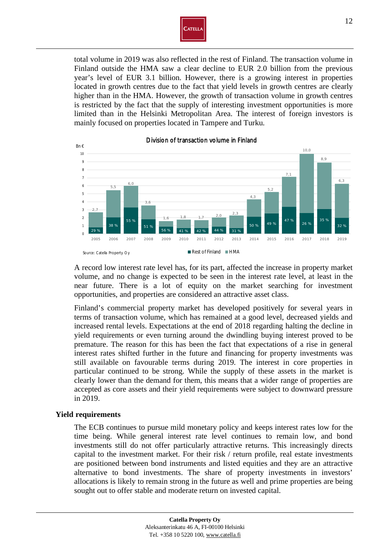

total volume in 2019 was also reflected in the rest of Finland. The transaction volume in Finland outside the HMA saw a clear decline to EUR 2.0 billion from the previous year's level of EUR 3.1 billion. However, there is a growing interest in properties located in growth centres due to the fact that yield levels in growth centres are clearly higher than in the HMA. However, the growth of transaction volume in growth centres is restricted by the fact that the supply of interesting investment opportunities is more limited than in the Helsinki Metropolitan Area. The interest of foreign investors is mainly focused on properties located in Tampere and Turku.



Division of transaction volume in Finland

A record low interest rate level has, for its part, affected the increase in property market volume, and no change is expected to be seen in the interest rate level, at least in the near future. There is a lot of equity on the market searching for investment opportunities, and properties are considered an attractive asset class.

Finland's commercial property market has developed positively for several years in terms of transaction volume, which has remained at a good level, decreased yields and increased rental levels. Expectations at the end of 2018 regarding halting the decline in yield requirements or even turning around the dwindling buying interest proved to be premature. The reason for this has been the fact that expectations of a rise in general interest rates shifted further in the future and financing for property investments was still available on favourable terms during 2019. The interest in core properties in particular continued to be strong. While the supply of these assets in the market is clearly lower than the demand for them, this means that a wider range of properties are accepted as core assets and their yield requirements were subject to downward pressure in 2019.

#### **Yield requirements**

The ECB continues to pursue mild monetary policy and keeps interest rates low for the time being. While general interest rate level continues to remain low, and bond investments still do not offer particularly attractive returns. This increasingly directs capital to the investment market. For their risk / return profile, real estate investments are positioned between bond instruments and listed equities and they are an attractive alternative to bond investments. The share of property investments in investors' allocations is likely to remain strong in the future as well and prime properties are being sought out to offer stable and moderate return on invested capital.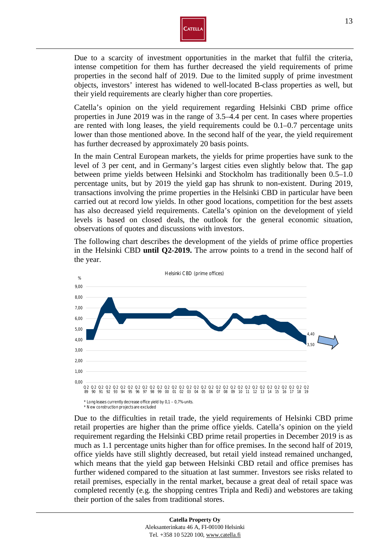

Due to a scarcity of investment opportunities in the market that fulfil the criteria, intense competition for them has further decreased the yield requirements of prime properties in the second half of 2019. Due to the limited supply of prime investment objects, investors' interest has widened to well-located B-class properties as well, but their yield requirements are clearly higher than core properties.

Catella's opinion on the yield requirement regarding Helsinki CBD prime office properties in June 2019 was in the range of 3.5–4.4 per cent. In cases where properties are rented with long leases, the yield requirements could be 0.1–0.7 percentage units lower than those mentioned above. In the second half of the year, the yield requirement has further decreased by approximately 20 basis points.

In the main Central European markets, the yields for prime properties have sunk to the level of 3 per cent, and in Germany's largest cities even slightly below that. The gap between prime yields between Helsinki and Stockholm has traditionally been 0.5–1.0 percentage units, but by 2019 the yield gap has shrunk to non-existent. During 2019, transactions involving the prime properties in the Helsinki CBD in particular have been carried out at record low yields. In other good locations, competition for the best assets has also decreased yield requirements. Catella's opinion on the development of yield levels is based on closed deals, the outlook for the general economic situation, observations of quotes and discussions with investors.

The following chart describes the development of the yields of prime office properties in the Helsinki CBD **until Q2-2019.** The arrow points to a trend in the second half of the year.



Due to the difficulties in retail trade, the yield requirements of Helsinki CBD prime retail properties are higher than the prime office yields. Catella's opinion on the yield requirement regarding the Helsinki CBD prime retail properties in December 2019 is as much as 1.1 percentage units higher than for office premises. In the second half of 2019, office yields have still slightly decreased, but retail yield instead remained unchanged, which means that the yield gap between Helsinki CBD retail and office premises has further widened compared to the situation at last summer. Investors see risks related to retail premises, especially in the rental market, because a great deal of retail space was completed recently (e.g. the shopping centres Tripla and Redi) and webstores are taking their portion of the sales from traditional stores.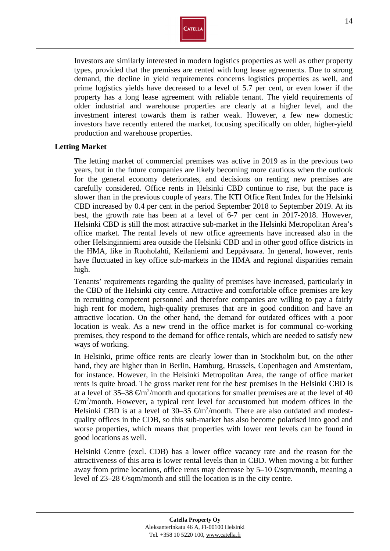

Investors are similarly interested in modern logistics properties as well as other property types, provided that the premises are rented with long lease agreements. Due to strong demand, the decline in yield requirements concerns logistics properties as well, and prime logistics yields have decreased to a level of 5.7 per cent, or even lower if the property has a long lease agreement with reliable tenant. The yield requirements of older industrial and warehouse properties are clearly at a higher level, and the investment interest towards them is rather weak. However, a few new domestic investors have recently entered the market, focusing specifically on older, higher-yield production and warehouse properties.

## **Letting Market**

The letting market of commercial premises was active in 2019 as in the previous two years, but in the future companies are likely becoming more cautious when the outlook for the general economy deteriorates, and decisions on renting new premises are carefully considered. Office rents in Helsinki CBD continue to rise, but the pace is slower than in the previous couple of years. The KTI Office Rent Index for the Helsinki CBD increased by 0.4 per cent in the period September 2018 to September 2019. At its best, the growth rate has been at a level of 6-7 per cent in 2017-2018. However, Helsinki CBD is still the most attractive sub-market in the Helsinki Metropolitan Area's office market. The rental levels of new office agreements have increased also in the other Helsinginniemi area outside the Helsinki CBD and in other good office districts in the HMA, like in Ruoholahti, Keilaniemi and Leppävaara. In general, however, rents have fluctuated in key office sub-markets in the HMA and regional disparities remain high.

Tenants' requirements regarding the quality of premises have increased, particularly in the CBD of the Helsinki city centre. Attractive and comfortable office premises are key in recruiting competent personnel and therefore companies are willing to pay a fairly high rent for modern, high-quality premises that are in good condition and have an attractive location. On the other hand, the demand for outdated offices with a poor location is weak. As a new trend in the office market is for communal co-working premises, they respond to the demand for office rentals, which are needed to satisfy new ways of working.

In Helsinki, prime office rents are clearly lower than in Stockholm but, on the other hand, they are higher than in Berlin, Hamburg, Brussels, Copenhagen and Amsterdam, for instance. However, in the Helsinki Metropolitan Area, the range of office market rents is quite broad. The gross market rent for the best premises in the Helsinki CBD is at a level of 35–38  $\epsilon$ m<sup>2</sup>/month and quotations for smaller premises are at the level of 40  $\mathfrak{m}^2$ /month. However, a typical rent level for accustomed but modern offices in the Helsinki CBD is at a level of 30–35  $\epsilon$ m<sup>2</sup>/month. There are also outdated and modestquality offices in the CDB, so this sub-market has also become polarised into good and worse properties, which means that properties with lower rent levels can be found in good locations as well.

Helsinki Centre (excl. CDB) has a lower office vacancy rate and the reason for the attractiveness of this area is lower rental levels than in CBD. When moving a bit further away from prime locations, office rents may decrease by  $5{\text -}10$   $\Theta$ sqm/month, meaning a level of  $23-28 \Theta_{\text{sgm/month}}$  and still the location is in the city centre.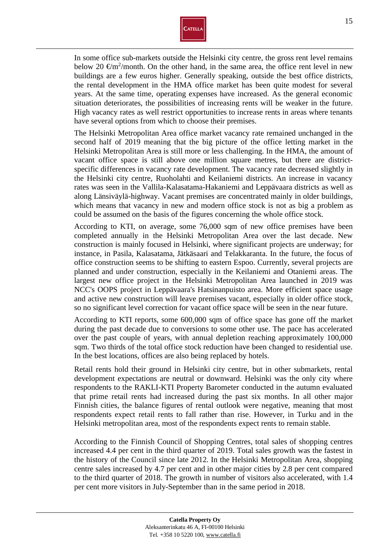

In some office sub-markets outside the Helsinki city centre, the gross rent level remains below 20  $\epsilon$ m<sup>2</sup>/month. On the other hand, in the same area, the office rent level in new buildings are a few euros higher. Generally speaking, outside the best office districts, the rental development in the HMA office market has been quite modest for several years. At the same time, operating expenses have increased. As the general economic situation deteriorates, the possibilities of increasing rents will be weaker in the future. High vacancy rates as well restrict opportunities to increase rents in areas where tenants have several options from which to choose their premises.

The Helsinki Metropolitan Area office market vacancy rate remained unchanged in the second half of 2019 meaning that the big picture of the office letting market in the Helsinki Metropolitan Area is still more or less challenging. In the HMA, the amount of vacant office space is still above one million square metres, but there are districtspecific differences in vacancy rate development. The vacancy rate decreased slightly in the Helsinki city centre, Ruoholahti and Keilaniemi districts. An increase in vacancy rates was seen in the Vallila-Kalasatama-Hakaniemi and Leppävaara districts as well as along Länsiväylä-highway. Vacant premises are concentrated mainly in older buildings, which means that vacancy in new and modern office stock is not as big a problem as could be assumed on the basis of the figures concerning the whole office stock.

According to KTI, on average, some 76,000 sqm of new office premises have been completed annually in the Helsinki Metropolitan Area over the last decade. New construction is mainly focused in Helsinki, where significant projects are underway; for instance, in Pasila, Kalasatama, Jätkäsaari and Telakkaranta. In the future, the focus of office construction seems to be shifting to eastern Espoo. Currently, several projects are planned and under construction, especially in the Keilaniemi and Otaniemi areas. The largest new office project in the Helsinki Metropolitan Area launched in 2019 was NCC's OOPS project in Leppävaara's Hatsinanpuisto area. More efficient space usage and active new construction will leave premises vacant, especially in older office stock, so no significant level correction for vacant office space will be seen in the near future.

According to KTI reports, some 600,000 sqm of office space has gone off the market during the past decade due to conversions to some other use. The pace has accelerated over the past couple of years, with annual depletion reaching approximately 100,000 sqm. Two thirds of the total office stock reduction have been changed to residential use. In the best locations, offices are also being replaced by hotels.

Retail rents hold their ground in Helsinki city centre, but in other submarkets, rental development expectations are neutral or downward. Helsinki was the only city where respondents to the RAKLI-KTI Property Barometer conducted in the autumn evaluated that prime retail rents had increased during the past six months. In all other major Finnish cities, the balance figures of rental outlook were negative, meaning that most respondents expect retail rents to fall rather than rise. However, in Turku and in the Helsinki metropolitan area, most of the respondents expect rents to remain stable.

According to the Finnish Council of Shopping Centres, total sales of shopping centres increased 4.4 per cent in the third quarter of 2019. Total sales growth was the fastest in the history of the Council since late 2012. In the Helsinki Metropolitan Area, shopping centre sales increased by 4.7 per cent and in other major cities by 2.8 per cent compared to the third quarter of 2018. The growth in number of visitors also accelerated, with 1.4 per cent more visitors in July-September than in the same period in 2018.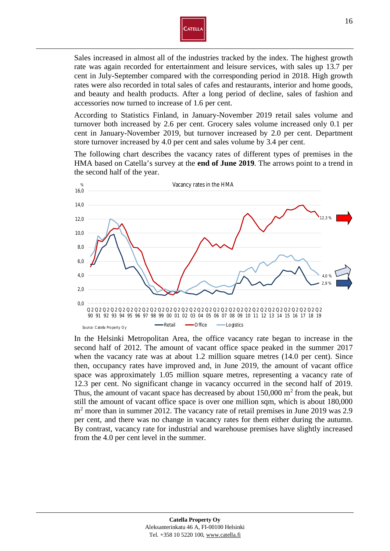

Sales increased in almost all of the industries tracked by the index. The highest growth rate was again recorded for entertainment and leisure services, with sales up 13.7 per cent in July-September compared with the corresponding period in 2018. High growth rates were also recorded in total sales of cafes and restaurants, interior and home goods, and beauty and health products. After a long period of decline, sales of fashion and accessories now turned to increase of 1.6 per cent.

According to Statistics Finland, in January-November 2019 retail sales volume and turnover both increased by 2.6 per cent. Grocery sales volume increased only 0.1 per cent in January-November 2019, but turnover increased by 2.0 per cent. Department store turnover increased by 4.0 per cent and sales volume by 3.4 per cent.

The following chart describes the vacancy rates of different types of premises in the HMA based on Catella's survey at the **end of June 2019**. The arrows point to a trend in the second half of the year.



In the Helsinki Metropolitan Area, the office vacancy rate began to increase in the second half of 2012. The amount of vacant office space peaked in the summer 2017 when the vacancy rate was at about 1.2 million square metres (14.0 per cent). Since then, occupancy rates have improved and, in June 2019, the amount of vacant office space was approximately 1.05 million square metres, representing a vacancy rate of 12.3 per cent. No significant change in vacancy occurred in the second half of 2019. Thus, the amount of vacant space has decreased by about  $150,000 \text{ m}^2$  from the peak, but still the amount of vacant office space is over one million sqm, which is about 180,000 m<sup>2</sup> more than in summer 2012. The vacancy rate of retail premises in June 2019 was 2.9 per cent, and there was no change in vacancy rates for them either during the autumn. By contrast, vacancy rate for industrial and warehouse premises have slightly increased from the 4.0 per cent level in the summer.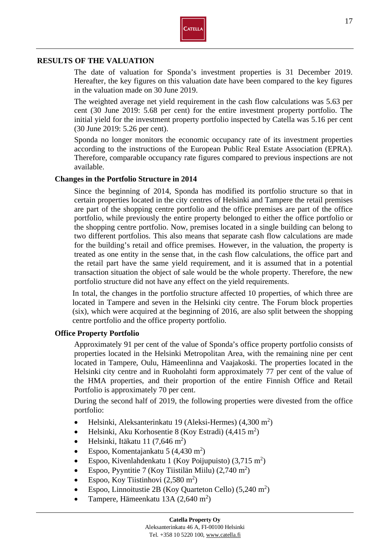

## **RESULTS OF THE VALUATION**

The date of valuation for Sponda's investment properties is 31 December 2019. Hereafter, the key figures on this valuation date have been compared to the key figures in the valuation made on 30 June 2019.

The weighted average net yield requirement in the cash flow calculations was 5.63 per cent (30 June 2019: 5.68 per cent) for the entire investment property portfolio. The initial yield for the investment property portfolio inspected by Catella was 5.16 per cent (30 June 2019: 5.26 per cent).

Sponda no longer monitors the economic occupancy rate of its investment properties according to the instructions of the European Public Real Estate Association (EPRA). Therefore, comparable occupancy rate figures compared to previous inspections are not available.

### **Changes in the Portfolio Structure in 2014**

Since the beginning of 2014, Sponda has modified its portfolio structure so that in certain properties located in the city centres of Helsinki and Tampere the retail premises are part of the shopping centre portfolio and the office premises are part of the office portfolio, while previously the entire property belonged to either the office portfolio or the shopping centre portfolio. Now, premises located in a single building can belong to two different portfolios. This also means that separate cash flow calculations are made for the building's retail and office premises. However, in the valuation, the property is treated as one entity in the sense that, in the cash flow calculations, the office part and the retail part have the same yield requirement, and it is assumed that in a potential transaction situation the object of sale would be the whole property. Therefore, the new portfolio structure did not have any effect on the yield requirements.

In total, the changes in the portfolio structure affected 10 properties, of which three are located in Tampere and seven in the Helsinki city centre. The Forum block properties (six), which were acquired at the beginning of 2016, are also split between the shopping centre portfolio and the office property portfolio.

## **Office Property Portfolio**

Approximately 91 per cent of the value of Sponda's office property portfolio consists of properties located in the Helsinki Metropolitan Area, with the remaining nine per cent located in Tampere, Oulu, Hämeenlinna and Vaajakoski. The properties located in the Helsinki city centre and in Ruoholahti form approximately 77 per cent of the value of the HMA properties, and their proportion of the entire Finnish Office and Retail Portfolio is approximately 70 per cent.

During the second half of 2019, the following properties were divested from the office portfolio:

- Helsinki, Aleksanterinkatu 19 (Aleksi-Hermes)  $(4,300 \text{ m}^2)$
- Helsinki, Aku Korhosentie 8 (Koy Estradi)  $(4, 415 \text{ m}^2)$
- $\bullet$  Helsinki, Itäkatu 11 (7,646 m<sup>2</sup>)
- Espoo, Komentajankatu 5  $(4,430 \text{ m}^2)$
- Espoo, Kivenlahdenkatu 1 (Koy Poijupuisto)  $(3,715 \text{ m}^2)$
- Espoo, Pyyntitie 7 (Koy Tiistilän Miilu)  $(2,740 \text{ m}^2)$
- Espoo, Koy Tiistinhovi  $(2,580 \text{ m}^2)$
- Espoo, Linnoitustie 2B (Koy Quarteton Cello)  $(5,240 \text{ m}^2)$
- Tampere, Hämeenkatu 13A  $(2,640 \text{ m}^2)$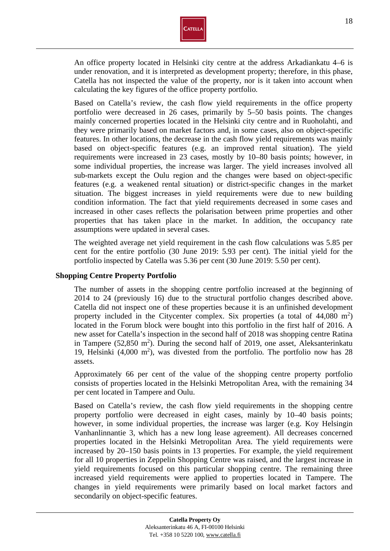

An office property located in Helsinki city centre at the address Arkadiankatu 4–6 is under renovation, and it is interpreted as development property; therefore, in this phase, Catella has not inspected the value of the property, nor is it taken into account when calculating the key figures of the office property portfolio.

Based on Catella's review, the cash flow yield requirements in the office property portfolio were decreased in 26 cases, primarily by 5–50 basis points. The changes mainly concerned properties located in the Helsinki city centre and in Ruoholahti, and they were primarily based on market factors and, in some cases, also on object-specific features. In other locations, the decrease in the cash flow yield requirements was mainly based on object-specific features (e.g. an improved rental situation). The yield requirements were increased in 23 cases, mostly by 10–80 basis points; however, in some individual properties, the increase was larger. The yield increases involved all sub-markets except the Oulu region and the changes were based on object-specific features (e.g. a weakened rental situation) or district-specific changes in the market situation. The biggest increases in yield requirements were due to new building condition information. The fact that yield requirements decreased in some cases and increased in other cases reflects the polarisation between prime properties and other properties that has taken place in the market. In addition, the occupancy rate assumptions were updated in several cases.

The weighted average net yield requirement in the cash flow calculations was 5.85 per cent for the entire portfolio (30 June 2019: 5.93 per cent). The initial yield for the portfolio inspected by Catella was 5.36 per cent (30 June 2019: 5.50 per cent).

## **Shopping Centre Property Portfolio**

The number of assets in the shopping centre portfolio increased at the beginning of 2014 to 24 (previously 16) due to the structural portfolio changes described above. Catella did not inspect one of these properties because it is an unfinished development property included in the Citycenter complex. Six properties (a total of  $44,080 \text{ m}^2$ ) located in the Forum block were bought into this portfolio in the first half of 2016. A new asset for Catella's inspection in the second half of 2018 was shopping centre Ratina in Tampere  $(52,850 \text{ m}^2)$ . During the second half of 2019, one asset, Aleksanterinkatu 19, Helsinki  $(4,000 \text{ m}^2)$ , was divested from the portfolio. The portfolio now has 28 assets.

Approximately 66 per cent of the value of the shopping centre property portfolio consists of properties located in the Helsinki Metropolitan Area, with the remaining 34 per cent located in Tampere and Oulu.

Based on Catella's review, the cash flow yield requirements in the shopping centre property portfolio were decreased in eight cases, mainly by 10–40 basis points; however, in some individual properties, the increase was larger (e.g. Koy Helsingin Vanhanlinnantie 3, which has a new long lease agreement). All decreases concerned properties located in the Helsinki Metropolitan Area. The yield requirements were increased by 20–150 basis points in 13 properties. For example, the yield requirement for all 10 properties in Zeppelin Shopping Centre was raised, and the largest increase in yield requirements focused on this particular shopping centre. The remaining three increased yield requirements were applied to properties located in Tampere. The changes in yield requirements were primarily based on local market factors and secondarily on object-specific features.

Tel. +358 10 5220 100, www.catella.fi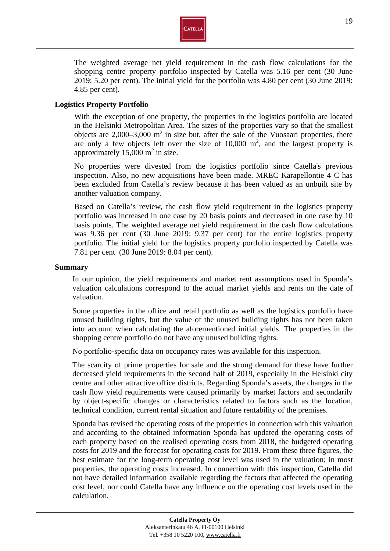

The weighted average net yield requirement in the cash flow calculations for the shopping centre property portfolio inspected by Catella was 5.16 per cent (30 June 2019: 5.20 per cent). The initial yield for the portfolio was 4.80 per cent (30 June 2019: 4.85 per cent).

## **Logistics Property Portfolio**

With the exception of one property, the properties in the logistics portfolio are located in the Helsinki Metropolitan Area. The sizes of the properties vary so that the smallest objects are  $2,000-3,000$  m<sup>2</sup> in size but, after the sale of the Vuosaari properties, there are only a few objects left over the size of  $10,000$  m<sup>2</sup>, and the largest property is approximately  $15,000 \text{ m}^2$  in size.

No properties were divested from the logistics portfolio since Catella's previous inspection. Also, no new acquisitions have been made. MREC Karapellontie 4 C has been excluded from Catella's review because it has been valued as an unbuilt site by another valuation company.

Based on Catella's review, the cash flow yield requirement in the logistics property portfolio was increased in one case by 20 basis points and decreased in one case by 10 basis points. The weighted average net yield requirement in the cash flow calculations was 9.36 per cent (30 June 2019: 9.37 per cent) for the entire logistics property portfolio. The initial yield for the logistics property portfolio inspected by Catella was 7.81 per cent (30 June 2019: 8.04 per cent).

## **Summary**

In our opinion, the yield requirements and market rent assumptions used in Sponda's valuation calculations correspond to the actual market yields and rents on the date of valuation.

Some properties in the office and retail portfolio as well as the logistics portfolio have unused building rights, but the value of the unused building rights has not been taken into account when calculating the aforementioned initial yields. The properties in the shopping centre portfolio do not have any unused building rights.

No portfolio-specific data on occupancy rates was available for this inspection.

The scarcity of prime properties for sale and the strong demand for these have further decreased yield requirements in the second half of 2019, especially in the Helsinki city centre and other attractive office districts. Regarding Sponda's assets, the changes in the cash flow yield requirements were caused primarily by market factors and secondarily by object-specific changes or characteristics related to factors such as the location, technical condition, current rental situation and future rentability of the premises.

Sponda has revised the operating costs of the properties in connection with this valuation and according to the obtained information Sponda has updated the operating costs of each property based on the realised operating costs from 2018, the budgeted operating costs for 2019 and the forecast for operating costs for 2019. From these three figures, the best estimate for the long-term operating cost level was used in the valuation; in most properties, the operating costs increased. In connection with this inspection, Catella did not have detailed information available regarding the factors that affected the operating cost level, nor could Catella have any influence on the operating cost levels used in the calculation.